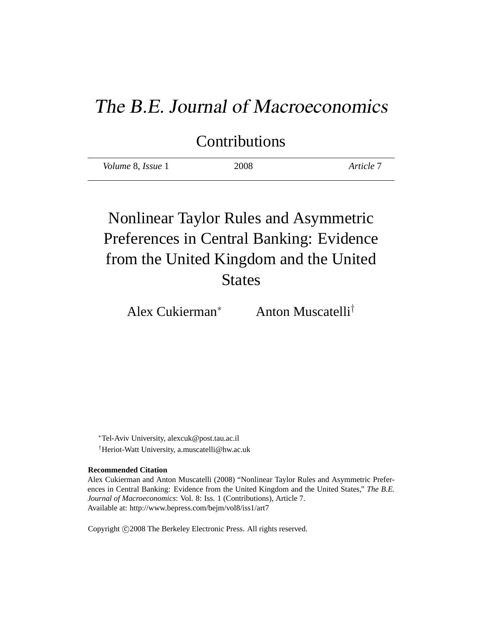# The B.E. Journal of Macroeconomics

Contributions

| Volume 8, Issue 1 | 2008 | Article 7 |
|-------------------|------|-----------|
|-------------------|------|-----------|

# Nonlinear Taylor Rules and Asymmetric Preferences in Central Banking: Evidence from the United Kingdom and the United States

Alex Cukierman<sup>∗</sup> Anton Muscatelli†

<sup>∗</sup>Tel-Aviv University, alexcuk@post.tau.ac.il †Heriot-Watt University, a.muscatelli@hw.ac.uk

#### **Recommended Citation**

Alex Cukierman and Anton Muscatelli (2008) "Nonlinear Taylor Rules and Asymmetric Preferences in Central Banking: Evidence from the United Kingdom and the United States," *The B.E. Journal of Macroeconomics*: Vol. 8: Iss. 1 (Contributions), Article 7. Available at: http://www.bepress.com/bejm/vol8/iss1/art7

Copyright © 2008 The Berkeley Electronic Press. All rights reserved.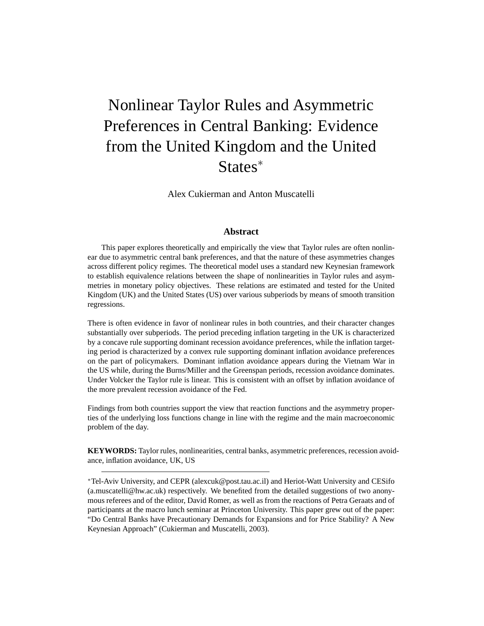# Nonlinear Taylor Rules and Asymmetric Preferences in Central Banking: Evidence from the United Kingdom and the United States<sup>∗</sup>

Alex Cukierman and Anton Muscatelli

#### **Abstract**

This paper explores theoretically and empirically the view that Taylor rules are often nonlinear due to asymmetric central bank preferences, and that the nature of these asymmetries changes across different policy regimes. The theoretical model uses a standard new Keynesian framework to establish equivalence relations between the shape of nonlinearities in Taylor rules and asymmetries in monetary policy objectives. These relations are estimated and tested for the United Kingdom (UK) and the United States (US) over various subperiods by means of smooth transition regressions.

There is often evidence in favor of nonlinear rules in both countries, and their character changes substantially over subperiods. The period preceding inflation targeting in the UK is characterized by a concave rule supporting dominant recession avoidance preferences, while the inflation targeting period is characterized by a convex rule supporting dominant inflation avoidance preferences on the part of policymakers. Dominant inflation avoidance appears during the Vietnam War in the US while, during the Burns/Miller and the Greenspan periods, recession avoidance dominates. Under Volcker the Taylor rule is linear. This is consistent with an offset by inflation avoidance of the more prevalent recession avoidance of the Fed.

Findings from both countries support the view that reaction functions and the asymmetry properties of the underlying loss functions change in line with the regime and the main macroeconomic problem of the day.

**KEYWORDS:** Taylor rules, nonlinearities, central banks, asymmetric preferences, recession avoidance, inflation avoidance, UK, US

<sup>∗</sup>Tel-Aviv University, and CEPR (alexcuk@post.tau.ac.il) and Heriot-Watt University and CESifo (a.muscatelli@hw.ac.uk) respectively. We benefited from the detailed suggestions of two anonymous referees and of the editor, David Romer, as well as from the reactions of Petra Geraats and of participants at the macro lunch seminar at Princeton University. This paper grew out of the paper: "Do Central Banks have Precautionary Demands for Expansions and for Price Stability? A New Keynesian Approach" (Cukierman and Muscatelli, 2003).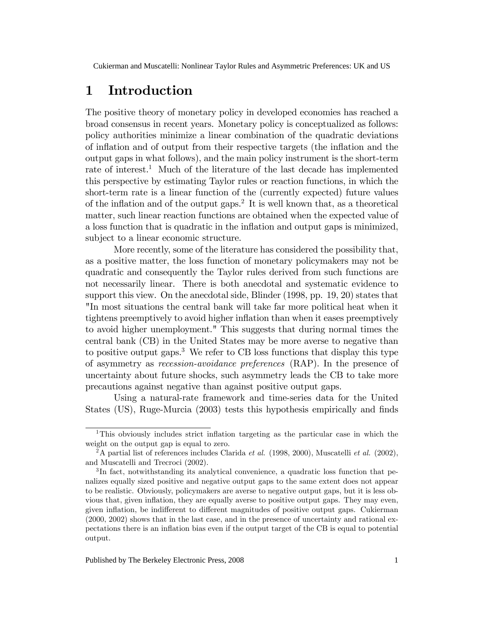## 1 Introduction

The positive theory of monetary policy in developed economies has reached a broad consensus in recent years. Monetary policy is conceptualized as follows: policy authorities minimize a linear combination of the quadratic deviations of inflation and of output from their respective targets (the inflation and the output gaps in what follows), and the main policy instrument is the short-term rate of interest.<sup>1</sup> Much of the literature of the last decade has implemented this perspective by estimating Taylor rules or reaction functions, in which the short-term rate is a linear function of the (currently expected) future values of the inflation and of the output gaps.<sup>2</sup> It is well known that, as a theoretical matter, such linear reaction functions are obtained when the expected value of a loss function that is quadratic in the inflation and output gaps is minimized, subject to a linear economic structure.

More recently, some of the literature has considered the possibility that, as a positive matter, the loss function of monetary policymakers may not be quadratic and consequently the Taylor rules derived from such functions are not necessarily linear. There is both anecdotal and systematic evidence to support this view. On the anecdotal side, Blinder (1998, pp. 19, 20) states that "In most situations the central bank will take far more political heat when it tightens preemptively to avoid higher inflation than when it eases preemptively to avoid higher unemployment." This suggests that during normal times the central bank (CB) in the United States may be more averse to negative than to positive output gaps.<sup>3</sup> We refer to CB loss functions that display this type of asymmetry as recession-avoidance preferences (RAP). In the presence of uncertainty about future shocks, such asymmetry leads the CB to take more precautions against negative than against positive output gaps.

Using a natural-rate framework and time-series data for the United States (US), Ruge-Murcia (2003) tests this hypothesis empirically and finds

<sup>&</sup>lt;sup>1</sup>This obviously includes strict inflation targeting as the particular case in which the weight on the output gap is equal to zero.

<sup>&</sup>lt;sup>2</sup>A partial list of references includes Clarida *et al.* (1998, 2000), Muscatelli *et al.* (2002), and Muscatelli and Trecroci (2002).

<sup>&</sup>lt;sup>3</sup>In fact, notwithstanding its analytical convenience, a quadratic loss function that penalizes equally sized positive and negative output gaps to the same extent does not appear to be realistic. Obviously, policymakers are averse to negative output gaps, but it is less obvious that, given ináation, they are equally averse to positive output gaps. They may even, given inflation, be indifferent to different magnitudes of positive output gaps. Cukierman (2000, 2002) shows that in the last case, and in the presence of uncertainty and rational expectations there is an ináation bias even if the output target of the CB is equal to potential output.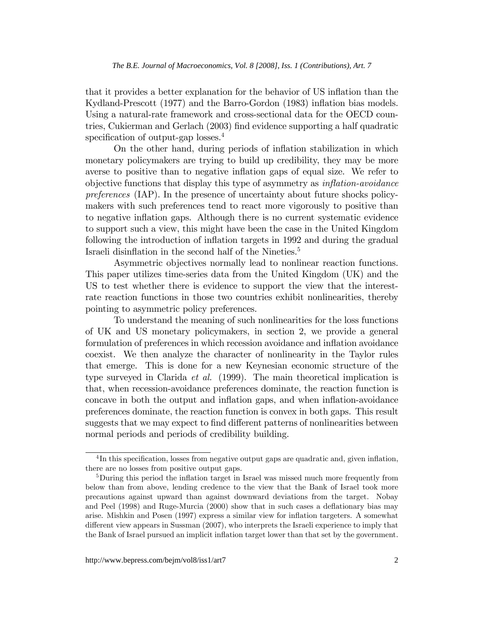that it provides a better explanation for the behavior of US inflation than the Kydland-Prescott (1977) and the Barro-Gordon (1983) inflation bias models. Using a natural-rate framework and cross-sectional data for the OECD countries, Cukierman and Gerlach (2003) find evidence supporting a half quadratic specification of output-gap losses. $4$ 

On the other hand, during periods of inflation stabilization in which monetary policymakers are trying to build up credibility, they may be more averse to positive than to negative ináation gaps of equal size. We refer to objective functions that display this type of asymmetry as  $\text{inflation-avoidance}$ preferences (IAP). In the presence of uncertainty about future shocks policymakers with such preferences tend to react more vigorously to positive than to negative ináation gaps. Although there is no current systematic evidence to support such a view, this might have been the case in the United Kingdom following the introduction of inflation targets in 1992 and during the gradual Israeli disinflation in the second half of the Nineties.<sup>5</sup>

Asymmetric objectives normally lead to nonlinear reaction functions. This paper utilizes time-series data from the United Kingdom (UK) and the US to test whether there is evidence to support the view that the interestrate reaction functions in those two countries exhibit nonlinearities, thereby pointing to asymmetric policy preferences.

To understand the meaning of such nonlinearities for the loss functions of UK and US monetary policymakers, in section 2, we provide a general formulation of preferences in which recession avoidance and inflation avoidance coexist. We then analyze the character of nonlinearity in the Taylor rules that emerge. This is done for a new Keynesian economic structure of the type surveyed in Clarida *et al.* (1999). The main theoretical implication is that, when recession-avoidance preferences dominate, the reaction function is concave in both the output and inflation gaps, and when inflation-avoidance preferences dominate, the reaction function is convex in both gaps. This result suggests that we may expect to find different patterns of nonlinearities between normal periods and periods of credibility building.

<sup>&</sup>lt;sup>4</sup>In this specification, losses from negative output gaps are quadratic and, given inflation, there are no losses from positive output gaps.

 $5$ During this period the inflation target in Israel was missed much more frequently from below than from above, lending credence to the view that the Bank of Israel took more precautions against upward than against downward deviations from the target. Nobay and Peel  $(1998)$  and Ruge-Murcia  $(2000)$  show that in such cases a deflationary bias may arise. Mishkin and Posen (1997) express a similar view for ináation targeters. A somewhat different view appears in Sussman (2007), who interprets the Israeli experience to imply that the Bank of Israel pursued an implicit inflation target lower than that set by the government.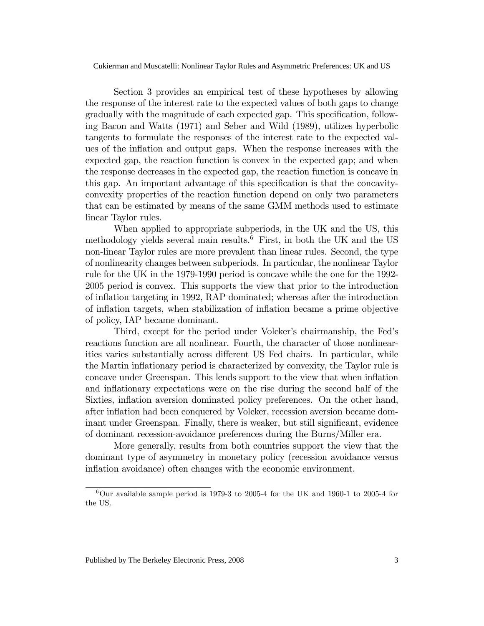Section 3 provides an empirical test of these hypotheses by allowing the response of the interest rate to the expected values of both gaps to change gradually with the magnitude of each expected gap. This specification, following Bacon and Watts (1971) and Seber and Wild (1989), utilizes hyperbolic tangents to formulate the responses of the interest rate to the expected values of the inflation and output gaps. When the response increases with the expected gap, the reaction function is convex in the expected gap; and when the response decreases in the expected gap, the reaction function is concave in this gap. An important advantage of this specification is that the concavityconvexity properties of the reaction function depend on only two parameters that can be estimated by means of the same GMM methods used to estimate linear Taylor rules.

When applied to appropriate subperiods, in the UK and the US, this methodology yields several main results.<sup>6</sup> First, in both the UK and the US non-linear Taylor rules are more prevalent than linear rules. Second, the type of nonlinearity changes between subperiods. In particular, the nonlinear Taylor rule for the UK in the 1979-1990 period is concave while the one for the 1992- 2005 period is convex. This supports the view that prior to the introduction of ináation targeting in 1992, RAP dominated; whereas after the introduction of ináation targets, when stabilization of ináation became a prime objective of policy, IAP became dominant.

Third, except for the period under Volcker's chairmanship, the Fed's reactions function are all nonlinear. Fourth, the character of those nonlinearities varies substantially across different US Fed chairs. In particular, while the Martin inflationary period is characterized by convexity, the Taylor rule is concave under Greenspan. This lends support to the view that when inflation and inflationary expectations were on the rise during the second half of the Sixties, inflation aversion dominated policy preferences. On the other hand, after inflation had been conquered by Volcker, recession aversion became dominant under Greenspan. Finally, there is weaker, but still significant, evidence of dominant recession-avoidance preferences during the Burns/Miller era.

More generally, results from both countries support the view that the dominant type of asymmetry in monetary policy (recession avoidance versus inflation avoidance) often changes with the economic environment.

 $6$ Our available sample period is 1979-3 to 2005-4 for the UK and 1960-1 to 2005-4 for the US.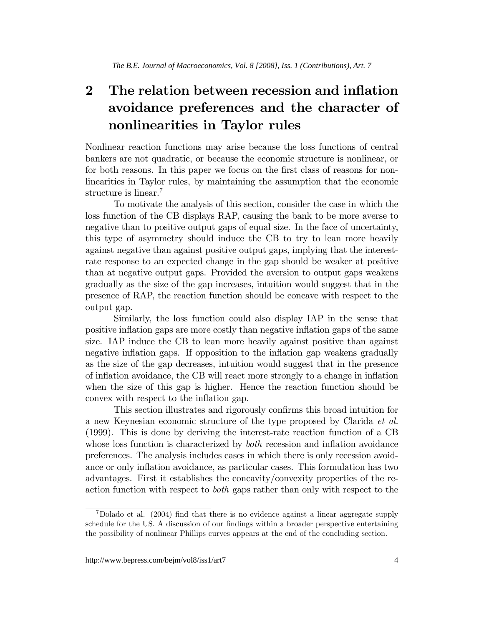## 2 The relation between recession and inflation avoidance preferences and the character of nonlinearities in Taylor rules

Nonlinear reaction functions may arise because the loss functions of central bankers are not quadratic, or because the economic structure is nonlinear, or for both reasons. In this paper we focus on the first class of reasons for nonlinearities in Taylor rules, by maintaining the assumption that the economic structure is linear.<sup>7</sup>

To motivate the analysis of this section, consider the case in which the loss function of the CB displays RAP, causing the bank to be more averse to negative than to positive output gaps of equal size. In the face of uncertainty, this type of asymmetry should induce the CB to try to lean more heavily against negative than against positive output gaps, implying that the interestrate response to an expected change in the gap should be weaker at positive than at negative output gaps. Provided the aversion to output gaps weakens gradually as the size of the gap increases, intuition would suggest that in the presence of RAP, the reaction function should be concave with respect to the output gap.

Similarly, the loss function could also display IAP in the sense that positive inflation gaps are more costly than negative inflation gaps of the same size. IAP induce the CB to lean more heavily against positive than against negative inflation gaps. If opposition to the inflation gap weakens gradually as the size of the gap decreases, intuition would suggest that in the presence of ináation avoidance, the CB will react more strongly to a change in ináation when the size of this gap is higher. Hence the reaction function should be convex with respect to the inflation gap.

This section illustrates and rigorously confirms this broad intuition for a new Keynesian economic structure of the type proposed by Clarida et al. (1999). This is done by deriving the interest-rate reaction function of a CB whose loss function is characterized by *both* recession and inflation avoidance preferences. The analysis includes cases in which there is only recession avoidance or only inflation avoidance, as particular cases. This formulation has two advantages. First it establishes the concavity/convexity properties of the reaction function with respect to both gaps rather than only with respect to the

 $7Dolado et al. (2004) find that there is no evidence against a linear aggregate supply.$ schedule for the US. A discussion of our findings within a broader perspective entertaining the possibility of nonlinear Phillips curves appears at the end of the concluding section.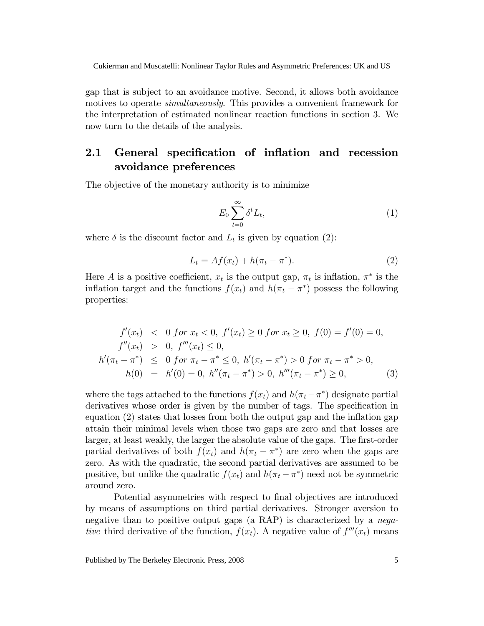gap that is subject to an avoidance motive. Second, it allows both avoidance motives to operate *simultaneously*. This provides a convenient framework for the interpretation of estimated nonlinear reaction functions in section 3. We now turn to the details of the analysis.

### 2.1 General specification of inflation and recession avoidance preferences

The objective of the monetary authority is to minimize

$$
E_0 \sum_{t=0}^{\infty} \delta^t L_t,
$$
\n(1)

where  $\delta$  is the discount factor and  $L_t$  is given by equation (2):

$$
L_t = A f(x_t) + h(\pi_t - \pi^*).
$$
 (2)

Here A is a positive coefficient,  $x_t$  is the output gap,  $\pi_t$  is inflation,  $\pi^*$  is the inflation target and the functions  $f(x_t)$  and  $h(\pi_t - \pi^*)$  possess the following properties:

$$
f'(x_t) < 0 \text{ for } x_t < 0, \ f'(x_t) \ge 0 \text{ for } x_t \ge 0, \ f(0) = f'(0) = 0,
$$
\n
$$
f''(x_t) > 0, \ f'''(x_t) \le 0,
$$
\n
$$
h'(\pi_t - \pi^*) \le 0 \text{ for } \pi_t - \pi^* \le 0, \ h'(\pi_t - \pi^*) > 0 \text{ for } \pi_t - \pi^* > 0,
$$
\n
$$
h(0) = h'(0) = 0, \ h''(\pi_t - \pi^*) > 0, \ h'''(\pi_t - \pi^*) \ge 0,
$$
\n
$$
(3)
$$

where the tags attached to the functions  $f(x_t)$  and  $h(\pi_t - \pi^*)$  designate partial derivatives whose order is given by the number of tags. The specification in equation  $(2)$  states that losses from both the output gap and the inflation gap attain their minimal levels when those two gaps are zero and that losses are larger, at least weakly, the larger the absolute value of the gaps. The first-order partial derivatives of both  $f(x_t)$  and  $h(\pi_t - \pi^*)$  are zero when the gaps are zero. As with the quadratic, the second partial derivatives are assumed to be positive, but unlike the quadratic  $f(x_t)$  and  $h(\pi_t - \pi^*)$  need not be symmetric around zero.

Potential asymmetries with respect to final objectives are introduced by means of assumptions on third partial derivatives. Stronger aversion to negative than to positive output gaps (a RAP) is characterized by a *nega*tive third derivative of the function,  $f(x_t)$ . A negative value of  $f'''(x_t)$  means

Published by The Berkeley Electronic Press, 2008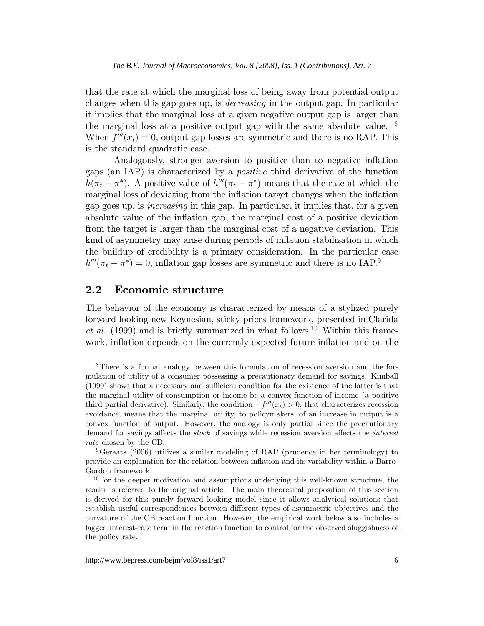that the rate at which the marginal loss of being away from potential output changes when this gap goes up, is decreasing in the output gap. In particular it implies that the marginal loss at a given negative output gap is larger than the marginal loss at a positive output gap with the same absolute value.  $8$ When  $f'''(x_t) = 0$ , output gap losses are symmetric and there is no RAP. This is the standard quadratic case.

Analogously, stronger aversion to positive than to negative inflation gaps (an IAP) is characterized by a positive third derivative of the function  $h(\pi_t - \pi^*)$ . A positive value of  $h'''(\pi_t - \pi^*)$  means that the rate at which the marginal loss of deviating from the inflation target changes when the inflation gap goes up, is increasing in this gap. In particular, it implies that, for a given absolute value of the ináation gap, the marginal cost of a positive deviation from the target is larger than the marginal cost of a negative deviation. This kind of asymmetry may arise during periods of inflation stabilization in which the buildup of credibility is a primary consideration. In the particular case  $h'''(\pi_t - \pi^*) = 0$ , inflation gap losses are symmetric and there is no IAP.<sup>9</sup>

#### 2.2 Economic structure

The behavior of the economy is characterized by means of a stylized purely forward looking new Keynesian, sticky prices framework, presented in Clarida et al. (1999) and is briefly summarized in what follows.<sup>10</sup> Within this framework, inflation depends on the currently expected future inflation and on the

<sup>8</sup>There is a formal analogy between this formulation of recession aversion and the formulation of utility of a consumer possessing a precautionary demand for savings. Kimball  $(1990)$  shows that a necessary and sufficient condition for the existence of the latter is that the marginal utility of consumption or income be a convex function of income (a positive third partial derivative). Similarly, the condition  $-f'''(x_t) > 0$ , that characterizes recession avoidance, means that the marginal utility, to policymakers, of an increase in output is a convex function of output. However, the analogy is only partial since the precautionary demand for savings affects the *stock* of savings while recession aversion affects the *interest* rate chosen by the CB.

<sup>9</sup>Geraats (2006) utilizes a similar modeling of RAP (prudence in her terminology) to provide an explanation for the relation between ináation and its variability within a Barro-Gordon framework.

<sup>&</sup>lt;sup>10</sup>For the deeper motivation and assumptions underlying this well-known structure, the reader is referred to the original article. The main theoretical proposition of this section is derived for this purely forward looking model since it allows analytical solutions that establish useful correspondences between different types of asymmetric objectives and the curvature of the CB reaction function. However, the empirical work below also includes a lagged interest-rate term in the reaction function to control for the observed sluggishness of the policy rate.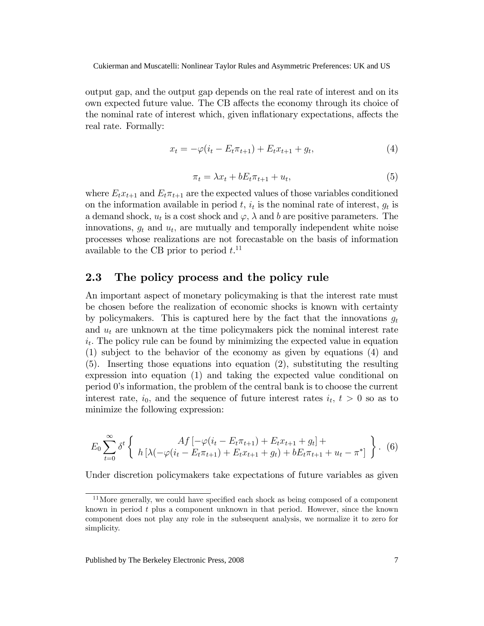output gap, and the output gap depends on the real rate of interest and on its own expected future value. The CB affects the economy through its choice of the nominal rate of interest which, given inflationary expectations, affects the real rate. Formally:

$$
x_t = -\varphi(i_t - E_t \pi_{t+1}) + E_t x_{t+1} + g_t,
$$
\n(4)

$$
\pi_t = \lambda x_t + b E_t \pi_{t+1} + u_t,\tag{5}
$$

where  $E_t x_{t+1}$  and  $E_t \pi_{t+1}$  are the expected values of those variables conditioned on the information available in period  $t, i_t$  is the nominal rate of interest,  $g_t$  is a demand shock,  $u_t$  is a cost shock and  $\varphi$ ,  $\lambda$  and b are positive parameters. The innovations,  $g_t$  and  $u_t$ , are mutually and temporally independent white noise processes whose realizations are not forecastable on the basis of information available to the CB prior to period  $t$ <sup>11</sup>

#### 2.3 The policy process and the policy rule

An important aspect of monetary policymaking is that the interest rate must be chosen before the realization of economic shocks is known with certainty by policymakers. This is captured here by the fact that the innovations  $g_t$ and  $u_t$  are unknown at the time policymakers pick the nominal interest rate  $i_t$ . The policy rule can be found by minimizing the expected value in equation (1) subject to the behavior of the economy as given by equations (4) and (5). Inserting those equations into equation (2), substituting the resulting expression into equation (1) and taking the expected value conditional on period 0ís information, the problem of the central bank is to choose the current interest rate,  $i_0$ , and the sequence of future interest rates  $i_t$ ,  $t > 0$  so as to minimize the following expression:

$$
E_0 \sum_{t=0}^{\infty} \delta^t \left\{ A \left[ \lambda \left( -\varphi(i_t - E_t \pi_{t+1}) + E_t x_{t+1} + g_t \right) + \right. \\ \left. h \left[ \lambda \left( -\varphi(i_t - E_t \pi_{t+1}) + E_t x_{t+1} + g_t \right) + b E_t \pi_{t+1} + u_t - \pi^* \right] \right\} . \tag{6}
$$

Under discretion policymakers take expectations of future variables as given

 $11$ More generally, we could have specified each shock as being composed of a component known in period  $t$  plus a component unknown in that period. However, since the known component does not play any role in the subsequent analysis, we normalize it to zero for simplicity.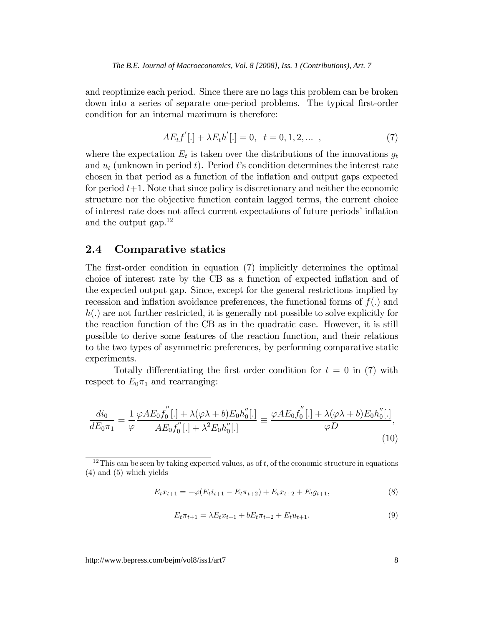and reoptimize each period. Since there are no lags this problem can be broken down into a series of separate one-period problems. The typical first-order condition for an internal maximum is therefore:

$$
AE_t f'[.] + \lambda E_t h'[.] = 0, \ t = 0, 1, 2, \dots \t{7}
$$

where the expectation  $E_t$  is taken over the distributions of the innovations  $g_t$ and  $u_t$  (unknown in period t). Period t's condition determines the interest rate chosen in that period as a function of the inflation and output gaps expected for period  $t+1$ . Note that since policy is discretionary and neither the economic structure nor the objective function contain lagged terms, the current choice of interest rate does not affect current expectations of future periods' inflation and the output gap. $12$ 

#### 2.4 Comparative statics

The first-order condition in equation  $(7)$  implicitly determines the optimal choice of interest rate by the CB as a function of expected inflation and of the expected output gap. Since, except for the general restrictions implied by recession and inflation avoidance preferences, the functional forms of  $f(.)$  and  $h(.)$  are not further restricted, it is generally not possible to solve explicitly for the reaction function of the CB as in the quadratic case. However, it is still possible to derive some features of the reaction function, and their relations to the two types of asymmetric preferences, by performing comparative static experiments.

Totally differentiating the first order condition for  $t = 0$  in (7) with respect to  $E_0 \pi_1$  and rearranging:

$$
\frac{di_0}{dE_0\pi_1} = \frac{1}{\varphi} \frac{\varphi A E_0 f_0^{''}[\cdot] + \lambda(\varphi \lambda + b) E_0 h_0^{''}[\cdot]}{A E_0 f_0^{''}[\cdot] + \lambda^2 E_0 h_0^{''}[\cdot]} \equiv \frac{\varphi A E_0 f_0^{''}[\cdot] + \lambda(\varphi \lambda + b) E_0 h_0^{''}[\cdot]}{\varphi D},\tag{10}
$$

$$
E_t x_{t+1} = -\varphi(E_t i_{t+1} - E_t \pi_{t+2}) + E_t x_{t+2} + E_t g_{t+1},
$$
\n(8)

$$
E_t \pi_{t+1} = \lambda E_t x_{t+1} + b E_t \pi_{t+2} + E_t u_{t+1}.
$$
\n(9)

http://www.bepress.com/bejm/vol8/iss1/art7

<sup>&</sup>lt;sup>12</sup>This can be seen by taking expected values, as of t, of the economic structure in equations (4) and (5) which yields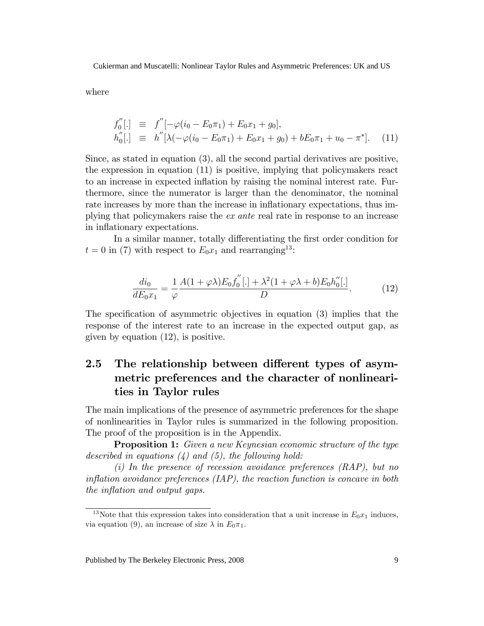where

$$
f_0''[.] \equiv f''[-\varphi(i_0 - E_0 \pi_1) + E_0 x_1 + g_0],
$$
  
\n
$$
h_0''[.] \equiv h''[\lambda(-\varphi(i_0 - E_0 \pi_1) + E_0 x_1 + g_0) + bE_0 \pi_1 + u_0 - \pi^*].
$$
 (11)

Since, as stated in equation (3), all the second partial derivatives are positive, the expression in equation (11) is positive, implying that policymakers react to an increase in expected inflation by raising the nominal interest rate. Furthermore, since the numerator is larger than the denominator, the nominal rate increases by more than the increase in inflationary expectations, thus implying that policymakers raise the ex ante real rate in response to an increase in inflationary expectations.

In a similar manner, totally differentiating the first order condition for  $t = 0$  in (7) with respect to  $E_0 x_1$  and rearranging<sup>13</sup>:

$$
\frac{di_0}{dE_0x_1} = \frac{1}{\varphi} \frac{A(1+\varphi\lambda)E_0f_0^{''}[\cdot] + \lambda^2(1+\varphi\lambda+b)E_0h_0^{''}[\cdot]}{D}.
$$
 (12)

The specification of asymmetric objectives in equation  $(3)$  implies that the response of the interest rate to an increase in the expected output gap, as given by equation (12), is positive.

## 2.5 The relationship between different types of asymmetric preferences and the character of nonlinearities in Taylor rules

The main implications of the presence of asymmetric preferences for the shape of nonlinearities in Taylor rules is summarized in the following proposition. The proof of the proposition is in the Appendix.

**Proposition 1:** Given a new Keynesian economic structure of the type described in equations  $(4)$  and  $(5)$ , the following hold:

(i) In the presence of recession avoidance preferences  $(RAP)$ , but no inflation avoidance preferences  $(IAP)$ , the reaction function is concave in both the inflation and output gaps.

<sup>&</sup>lt;sup>13</sup>Note that this expression takes into consideration that a unit increase in  $E_0x_1$  induces, via equation (9), an increase of size  $\lambda$  in  $E_0\pi_1$ .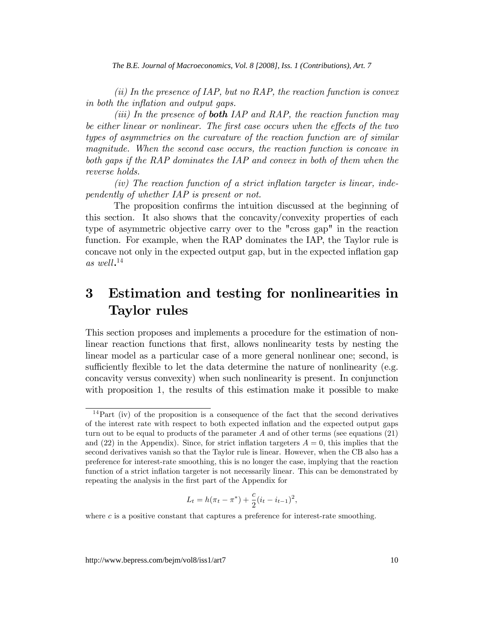*The B.E. Journal of Macroeconomics, Vol. 8 [2008], Iss. 1 (Contributions), Art. 7*

 $(ii)$  In the presence of IAP, but no RAP, the reaction function is convex in both the inflation and output gaps.

(iii) In the presence of **both** IAP and RAP, the reaction function may be either linear or nonlinear. The first case occurs when the effects of the two types of asymmetries on the curvature of the reaction function are of similar magnitude. When the second case occurs, the reaction function is concave in both gaps if the RAP dominates the IAP and convex in both of them when the reverse holds.

 $(iv)$  The reaction function of a strict inflation targeter is linear, independently of whether IAP is present or not.

The proposition confirms the intuition discussed at the beginning of this section. It also shows that the concavity/convexity properties of each type of asymmetric objective carry over to the "cross gap" in the reaction function. For example, when the RAP dominates the IAP, the Taylor rule is concave not only in the expected output gap, but in the expected inflation gap as well. 14

## 3 Estimation and testing for nonlinearities in Taylor rules

This section proposes and implements a procedure for the estimation of nonlinear reaction functions that first, allows nonlinearity tests by nesting the linear model as a particular case of a more general nonlinear one; second, is sufficiently flexible to let the data determine the nature of nonlinearity (e.g. concavity versus convexity) when such nonlinearity is present. In conjunction with proposition 1, the results of this estimation make it possible to make

$$
L_t = h(\pi_t - \pi^*) + \frac{c}{2}(i_t - i_{t-1})^2,
$$

where  $c$  is a positive constant that captures a preference for interest-rate smoothing.

 $14$ Part (iv) of the proposition is a consequence of the fact that the second derivatives of the interest rate with respect to both expected ináation and the expected output gaps turn out to be equal to products of the parameter  $A$  and of other terms (see equations (21) and (22) in the Appendix). Since, for strict inflation targeters  $A = 0$ , this implies that the second derivatives vanish so that the Taylor rule is linear. However, when the CB also has a preference for interest-rate smoothing, this is no longer the case, implying that the reaction function of a strict inflation targeter is not necessarily linear. This can be demonstrated by repeating the analysis in the first part of the Appendix for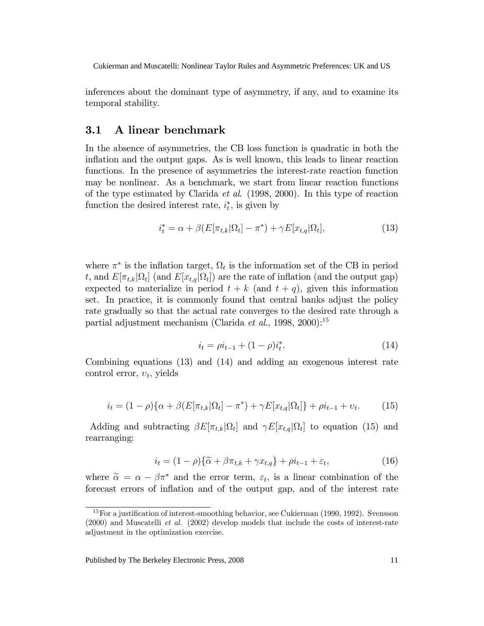inferences about the dominant type of asymmetry, if any, and to examine its temporal stability.

#### 3.1 A linear benchmark

In the absence of asymmetries, the CB loss function is quadratic in both the inflation and the output gaps. As is well known, this leads to linear reaction functions. In the presence of asymmetries the interest-rate reaction function may be nonlinear. As a benchmark, we start from linear reaction functions of the type estimated by Clarida et al. (1998, 2000). In this type of reaction function the desired interest rate,  $i_t^*$ , is given by

$$
i_t^* = \alpha + \beta \left( E[\pi_{t,k}|\Omega_t] - \pi^* \right) + \gamma E[x_{t,q}|\Omega_t],\tag{13}
$$

where  $\pi^*$  is the inflation target,  $\Omega_t$  is the information set of the CB in period t, and  $E[\pi_{t,k}|\Omega_t]$  (and  $E[x_{t,q}|\Omega_t]$ ) are the rate of inflation (and the output gap) expected to materialize in period  $t + k$  (and  $t + q$ ), given this information set. In practice, it is commonly found that central banks adjust the policy rate gradually so that the actual rate converges to the desired rate through a partial adjustment mechanism (Clarida et al., 1998, 2000):<sup>15</sup>

$$
i_t = \rho i_{t-1} + (1 - \rho) i_t^*.
$$
\n(14)

Combining equations (13) and (14) and adding an exogenous interest rate control error,  $v_t$ , yields

$$
i_t = (1 - \rho)\{\alpha + \beta(E[\pi_{t,k}|\Omega_t] - \pi^*) + \gamma E[x_{t,q}|\Omega_t]\} + \rho i_{t-1} + \nu_t.
$$
 (15)

Adding and subtracting  $\beta E[\pi_{t,k}|\Omega_t]$  and  $\gamma E[x_{t,q}|\Omega_t]$  to equation (15) and rearranging:

$$
i_t = (1 - \rho)\{\tilde{\alpha} + \beta \pi_{t,k} + \gamma x_{t,q}\} + \rho i_{t-1} + \varepsilon_t,
$$
\n(16)

where  $\tilde{\alpha} = \alpha - \beta \pi^*$  and the error term,  $\varepsilon_t$ , is a linear combination of the forecast errors of inflation and of the output gap, and of the interest rate

 $15$  For a justification of interest-smoothing behavior, see Cukierman (1990, 1992). Svensson  $(2000)$  and Muscatelli *et al.*  $(2002)$  develop models that include the costs of interest-rate adjustment in the optimization exercise.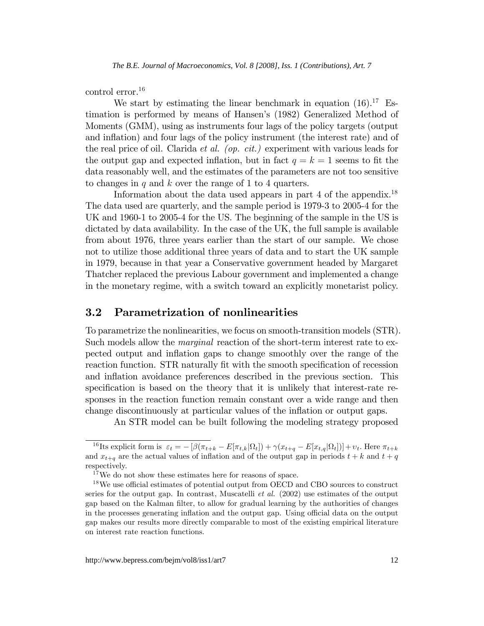control error.<sup>16</sup>

We start by estimating the linear benchmark in equation  $(16).^{17}$  Estimation is performed by means of Hansen's (1982) Generalized Method of Moments (GMM), using as instruments four lags of the policy targets (output and inflation) and four lags of the policy instrument (the interest rate) and of the real price of oil. Clarida *et al.* (*op. cit.*) experiment with various leads for the output gap and expected inflation, but in fact  $q = k = 1$  seems to fit the data reasonably well, and the estimates of the parameters are not too sensitive to changes in q and k over the range of 1 to 4 quarters.

Information about the data used appears in part 4 of the appendix.<sup>18</sup> The data used are quarterly, and the sample period is 1979-3 to 2005-4 for the UK and 1960-1 to 2005-4 for the US. The beginning of the sample in the US is dictated by data availability. In the case of the UK, the full sample is available from about 1976, three years earlier than the start of our sample. We chose not to utilize those additional three years of data and to start the UK sample in 1979, because in that year a Conservative government headed by Margaret Thatcher replaced the previous Labour government and implemented a change in the monetary regime, with a switch toward an explicitly monetarist policy.

### 3.2 Parametrization of nonlinearities

To parametrize the nonlinearities, we focus on smooth-transition models (STR). Such models allow the *marginal* reaction of the short-term interest rate to expected output and ináation gaps to change smoothly over the range of the reaction function. STR naturally fit with the smooth specification of recession and inflation avoidance preferences described in the previous section. This specification is based on the theory that it is unlikely that interest-rate responses in the reaction function remain constant over a wide range and then change discontinuously at particular values of the inflation or output gaps.

An STR model can be built following the modeling strategy proposed

<sup>&</sup>lt;sup>16</sup>Its explicit form is  $\varepsilon_t = -\left[\beta(\pi_{t+k} - E[\pi_{t,k}|\Omega_t]) + \gamma(x_{t+q} - E[x_{t,q}|\Omega_t])\right] + v_t$ . Here  $\pi_{t+k}$ and  $x_{t+q}$  are the actual values of inflation and of the output gap in periods  $t + k$  and  $t + q$ respectively.

<sup>&</sup>lt;sup>17</sup>We do not show these estimates here for reasons of space.

<sup>&</sup>lt;sup>18</sup>We use official estimates of potential output from OECD and CBO sources to construct series for the output gap. In contrast, Muscatelli *et al.*  $(2002)$  use estimates of the output gap based on the Kalman filter, to allow for gradual learning by the authorities of changes in the processes generating inflation and the output gap. Using official data on the output gap makes our results more directly comparable to most of the existing empirical literature on interest rate reaction functions.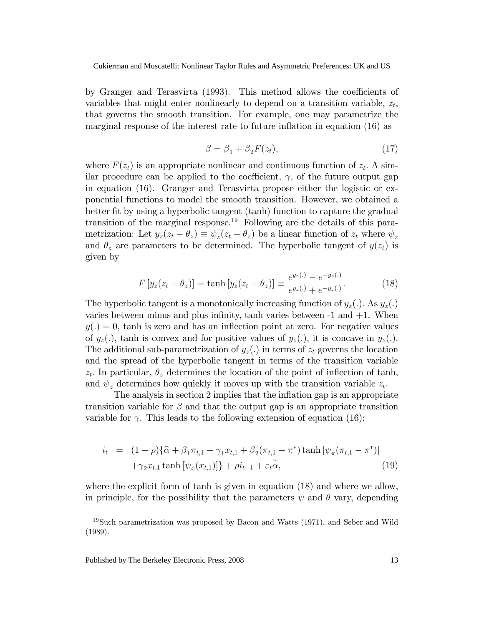by Granger and Terasvirta (1993). This method allows the coefficients of variables that might enter nonlinearly to depend on a transition variable,  $z_t$ , that governs the smooth transition. For example, one may parametrize the marginal response of the interest rate to future inflation in equation  $(16)$  as

$$
\beta = \beta_1 + \beta_2 F(z_t),\tag{17}
$$

where  $F(z_t)$  is an appropriate nonlinear and continuous function of  $z_t$ . A similar procedure can be applied to the coefficient,  $\gamma$ , of the future output gap in equation (16). Granger and Terasvirta propose either the logistic or exponential functions to model the smooth transition. However, we obtained a better fit by using a hyperbolic tangent (tanh) function to capture the gradual transition of the marginal response.<sup>19</sup> Following are the details of this parametrization: Let  $y_z(z_t - \theta_z) \equiv \psi_z(z_t - \theta_z)$  be a linear function of  $z_t$  where  $\psi_z$ and  $\theta_z$  are parameters to be determined. The hyperbolic tangent of  $y(z_t)$  is given by

$$
F[y_z(z_t - \theta_z)] = \tanh[y_z(z_t - \theta_z)] \equiv \frac{e^{y_z(.)} - e^{-y_z(.)}}{e^{y_z(.)} + e^{-y_z(.)}}.
$$
 (18)

The hyperbolic tangent is a monotonically increasing function of  $y_z(.)$ . As  $y_z(.)$ varies between minus and plus infinity, tanh varies between  $-1$  and  $+1$ . When  $y(.) = 0$ , tanh is zero and has an inflection point at zero. For negative values of  $y_z(.)$ , tanh is convex and for positive values of  $y_z(.)$ , it is concave in  $y_z(.)$ . The additional sub-parametrization of  $y_z(.)$  in terms of  $z_t$  governs the location and the spread of the hyperbolic tangent in terms of the transition variable  $z_t$ . In particular,  $\theta_z$  determines the location of the point of inflection of tanh, and  $\psi_z$  determines how quickly it moves up with the transition variable  $z_t$ .

The analysis in section 2 implies that the inflation gap is an appropriate transition variable for  $\beta$  and that the output gap is an appropriate transition variable for  $\gamma$ . This leads to the following extension of equation (16):

$$
i_{t} = (1 - \rho)\{\hat{\alpha} + \beta_{1}\pi_{t,1} + \gamma_{1}x_{t,1} + \beta_{2}(\pi_{t,1} - \pi^{*})\tanh\left[\psi_{\pi}(\pi_{t,1} - \pi^{*})\right] + \gamma_{2}x_{t,1}\tanh\left[\psi_{x}(x_{t,1})\right]\} + \rho i_{t-1} + \varepsilon_{t}\tilde{\alpha},
$$
\n(19)

where the explicit form of tanh is given in equation (18) and where we allow, in principle, for the possibility that the parameters  $\psi$  and  $\theta$  vary, depending

<sup>19</sup>Such parametrization was proposed by Bacon and Watts (1971), and Seber and Wild (1989).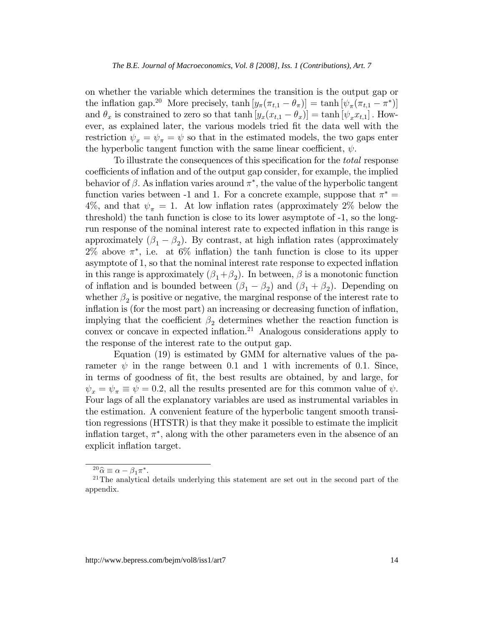on whether the variable which determines the transition is the output gap or the inflation gap.<sup>20</sup> More precisely,  $\tanh[y_{\pi}(\pi_{t,1} - \theta_{\pi})] = \tanh[\psi_{\pi}(\pi_{t,1} - \pi^*)]$ and  $\theta_x$  is constrained to zero so that tanh  $[y_x(x_{t,1} - \theta_x)] = \tanh [\psi_x x_{t,1}]$ . However, as explained later, the various models tried fit the data well with the restriction  $\psi_x = \psi_{\pi} = \psi$  so that in the estimated models, the two gaps enter the hyperbolic tangent function with the same linear coefficient,  $\psi$ .

To illustrate the consequences of this specification for the *total* response coefficients of inflation and of the output gap consider, for example, the implied behavior of  $\beta$ . As inflation varies around  $\pi^*$ , the value of the hyperbolic tangent function varies between -1 and 1. For a concrete example, suppose that  $\pi^* =$ 4%, and that  $\psi_{\pi} = 1$ . At low inflation rates (approximately 2% below the threshold) the tanh function is close to its lower asymptote of -1, so the longrun response of the nominal interest rate to expected inflation in this range is approximately  $(\beta_1 - \beta_2)$ . By contrast, at high inflation rates (approximately 2% above  $\pi^*$ , i.e. at 6% inflation) the tanh function is close to its upper asymptote of 1, so that the nominal interest rate response to expected ináation in this range is approximately  $(\beta_1 + \beta_2)$ . In between,  $\beta$  is a monotonic function of inflation and is bounded between  $(\beta_1 - \beta_2)$  and  $(\beta_1 + \beta_2)$ . Depending on whether  $\beta_2$  is positive or negative, the marginal response of the interest rate to inflation is (for the most part) an increasing or decreasing function of inflation, implying that the coefficient  $\beta_2$  determines whether the reaction function is convex or concave in expected inflation.<sup>21</sup> Analogous considerations apply to the response of the interest rate to the output gap.

Equation (19) is estimated by GMM for alternative values of the parameter  $\psi$  in the range between 0.1 and 1 with increments of 0.1. Since, in terms of goodness of fit, the best results are obtained, by and large, for  $\psi_x = \psi_{\pi} \equiv \psi = 0.2$ , all the results presented are for this common value of  $\psi$ . Four lags of all the explanatory variables are used as instrumental variables in the estimation. A convenient feature of the hyperbolic tangent smooth transition regressions (HTSTR) is that they make it possible to estimate the implicit inflation target,  $\pi^*$ , along with the other parameters even in the absence of an explicit inflation target.

 $2^{\circ}\widehat{\alpha} \equiv \alpha - \beta_1 \pi^*$ .<br>  $2^{\circ}\Gamma$ 

 $21$ The analytical details underlying this statement are set out in the second part of the appendix.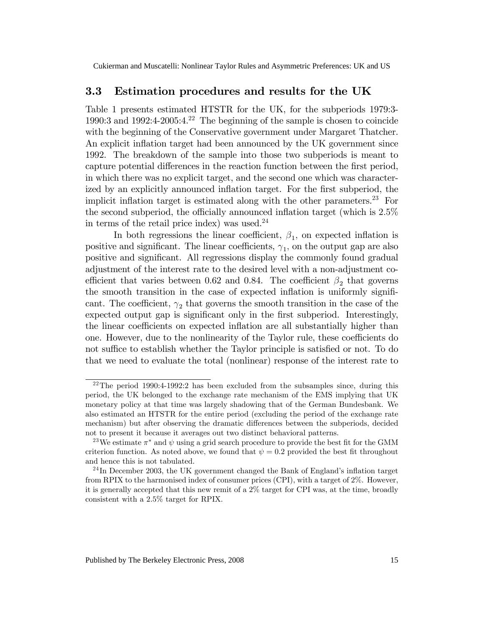#### 3.3 Estimation procedures and results for the UK

Table 1 presents estimated HTSTR for the UK, for the subperiods 1979:3- 1990:3 and 1992:4-2005:4.<sup>22</sup> The beginning of the sample is chosen to coincide with the beginning of the Conservative government under Margaret Thatcher. An explicit inflation target had been announced by the UK government since 1992. The breakdown of the sample into those two subperiods is meant to capture potential differences in the reaction function between the first period, in which there was no explicit target, and the second one which was characterized by an explicitly announced inflation target. For the first subperiod, the implicit inflation target is estimated along with the other parameters.<sup>23</sup> For the second subperiod, the officially announced inflation target (which is  $2.5\%$ ) in terms of the retail price index) was used.<sup>24</sup>

In both regressions the linear coefficient,  $\beta_1$ , on expected inflation is positive and significant. The linear coefficients,  $\gamma_1$ , on the output gap are also positive and significant. All regressions display the commonly found gradual adjustment of the interest rate to the desired level with a non-adjustment coefficient that varies between 0.62 and 0.84. The coefficient  $\beta_2$  that governs the smooth transition in the case of expected inflation is uniformly significant. The coefficient,  $\gamma_2$  that governs the smooth transition in the case of the expected output gap is significant only in the first subperiod. Interestingly, the linear coefficients on expected inflation are all substantially higher than one. However, due to the nonlinearity of the Taylor rule, these coefficients do not suffice to establish whether the Taylor principle is satisfied or not. To do that we need to evaluate the total (nonlinear) response of the interest rate to

<sup>&</sup>lt;sup>22</sup>The period 1990:4-1992:2 has been excluded from the subsamples since, during this period, the UK belonged to the exchange rate mechanism of the EMS implying that UK monetary policy at that time was largely shadowing that of the German Bundesbank. We also estimated an HTSTR for the entire period (excluding the period of the exchange rate mechanism) but after observing the dramatic differences between the subperiods, decided not to present it because it averages out two distinct behavioral patterns.

<sup>&</sup>lt;sup>23</sup>We estimate  $\pi^*$  and  $\psi$  using a grid search procedure to provide the best fit for the GMM criterion function. As noted above, we found that  $\psi = 0.2$  provided the best fit throughout and hence this is not tabulated.

<sup>&</sup>lt;sup>24</sup>In December 2003, the UK government changed the Bank of England's inflation target from RPIX to the harmonised index of consumer prices (CPI), with a target of 2%. However, it is generally accepted that this new remit of a 2% target for CPI was, at the time, broadly consistent with a 2.5% target for RPIX.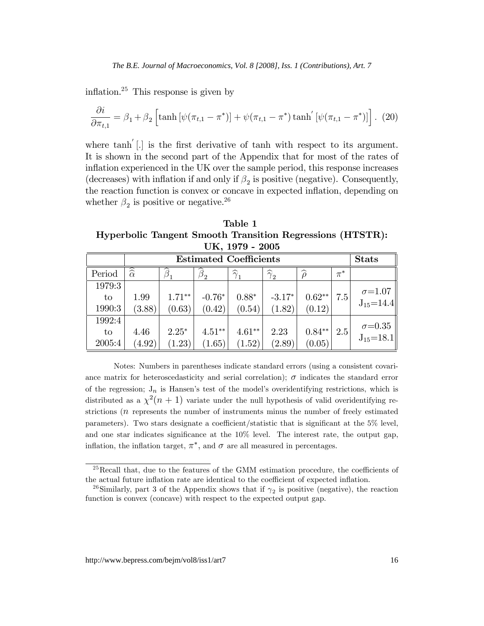inflation.<sup>25</sup> This response is given by

$$
\frac{\partial i}{\partial \pi_{t,1}} = \beta_1 + \beta_2 \left[ \tanh \left[ \psi(\pi_{t,1} - \pi^*) \right] + \psi(\pi_{t,1} - \pi^*) \tanh' \left[ \psi(\pi_{t,1} - \pi^*) \right] \right]. \tag{20}
$$

where  $\tanh'$ . is the first derivative of tanh with respect to its argument. It is shown in the second part of the Appendix that for most of the rates of inflation experienced in the UK over the sample period, this response increases (decreases) with inflation if and only if  $\beta_2$  is positive (negative). Consequently, the reaction function is convex or concave in expected inflation, depending on whether  $\beta_2$  is positive or negative.<sup>26</sup>

Table 1 Hyperbolic Tangent Smooth Transition Regressions (HTSTR): UK, 1979 - 2005

|                        | <b>Estimated Coefficients</b> |                    |                     |                      |                      | <b>Stats</b>       |         |                                    |
|------------------------|-------------------------------|--------------------|---------------------|----------------------|----------------------|--------------------|---------|------------------------------------|
| Period                 | $\overline{\hat{\alpha}}$     |                    | $\beta_2^{}$        | $\widehat{\gamma}_1$ | $\widehat{\gamma}_2$ | $\widehat{\rho}$   | $\pi^*$ |                                    |
| 1979:3<br>to<br>1990:3 | 1.99<br>(3.88)                | $1.71**$<br>(0.63) | $-0.76*$<br>(0.42)  | $0.88*$<br>(0.54)    | $-3.17*$<br>(1.82)   | $0.62**$<br>(0.12) | 7.5     | $\sigma = 1.07$<br>$J_{15}=14.4$   |
| 1992:4<br>to<br>2005:4 | 4.46<br>(4.92)                | $2.25*$<br>(1.23)  | $4.51***$<br>(1.65) | $4.61**$<br>(1.52)   | 2.23<br>(2.89)       | $0.84**$<br>(0.05) | 2.5     | $\sigma = 0.35$<br>$J_{15} = 18.1$ |

Notes: Numbers in parentheses indicate standard errors (using a consistent covariance matrix for heteroscedasticity and serial correlation);  $\sigma$  indicates the standard error of the regression;  $J_n$  is Hansen's test of the model's overidentifying restrictions, which is distributed as a  $\chi^2(n+1)$  variate under the null hypothesis of valid overidentifying restrictions  $(n)$  represents the number of instruments minus the number of freely estimated parameters). Two stars designate a coefficient/statistic that is significant at the  $5\%$  level, and one star indicates significance at the  $10\%$  level. The interest rate, the output gap, inflation, the inflation target,  $\pi^*$ , and  $\sigma$  are all measured in percentages.

 $^{25}$ Recall that, due to the features of the GMM estimation procedure, the coefficients of the actual future inflation rate are identical to the coefficient of expected inflation.

<sup>&</sup>lt;sup>26</sup>Similarly, part 3 of the Appendix shows that if  $\gamma_2$  is positive (negative), the reaction function is convex (concave) with respect to the expected output gap.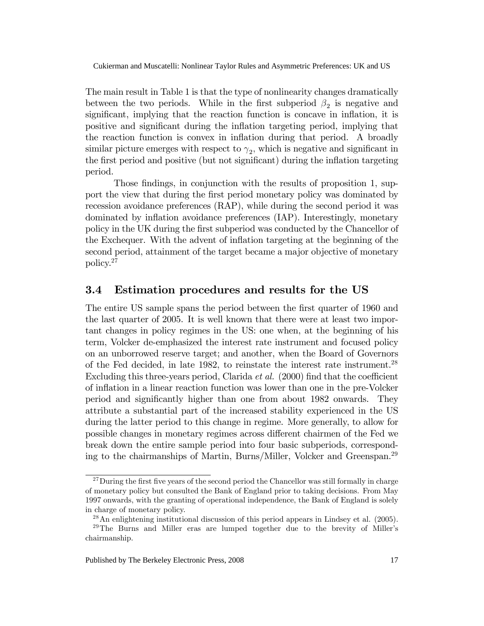The main result in Table 1 is that the type of nonlinearity changes dramatically between the two periods. While in the first subperiod  $\beta_2$  is negative and significant, implying that the reaction function is concave in inflation, it is positive and significant during the inflation targeting period, implying that the reaction function is convex in inflation during that period. A broadly similar picture emerges with respect to  $\gamma_2$ , which is negative and significant in the first period and positive (but not significant) during the inflation targeting period.

Those findings, in conjunction with the results of proposition 1, support the view that during the first period monetary policy was dominated by recession avoidance preferences (RAP), while during the second period it was dominated by inflation avoidance preferences (IAP). Interestingly, monetary policy in the UK during the Örst subperiod was conducted by the Chancellor of the Exchequer. With the advent of inflation targeting at the beginning of the second period, attainment of the target became a major objective of monetary policy.<sup>27</sup>

#### 3.4 Estimation procedures and results for the US

The entire US sample spans the period between the first quarter of 1960 and the last quarter of 2005. It is well known that there were at least two important changes in policy regimes in the US: one when, at the beginning of his term, Volcker de-emphasized the interest rate instrument and focused policy on an unborrowed reserve target; and another, when the Board of Governors of the Fed decided, in late 1982, to reinstate the interest rate instrument.<sup>28</sup> Excluding this three-years period, Clarida *et al.*  $(2000)$  find that the coefficient of ináation in a linear reaction function was lower than one in the pre-Volcker period and significantly higher than one from about 1982 onwards. They attribute a substantial part of the increased stability experienced in the US during the latter period to this change in regime. More generally, to allow for possible changes in monetary regimes across different chairmen of the Fed we break down the entire sample period into four basic subperiods, corresponding to the chairmanships of Martin, Burns/Miller, Volcker and Greenspan.<sup>29</sup>

 $^{27}$ During the first five years of the second period the Chancellor was still formally in charge of monetary policy but consulted the Bank of England prior to taking decisions. From May 1997 onwards, with the granting of operational independence, the Bank of England is solely in charge of monetary policy.

<sup>28</sup>An enlightening institutional discussion of this period appears in Lindsey et al. (2005). <sup>29</sup>The Burns and Miller eras are lumped together due to the brevity of Miller's chairmanship.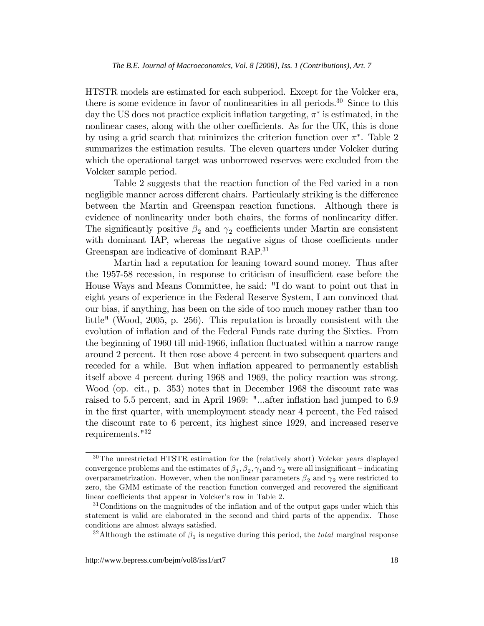HTSTR models are estimated for each subperiod. Except for the Volcker era, there is some evidence in favor of nonlinearities in all periods.<sup>30</sup> Since to this day the US does not practice explicit inflation targeting,  $\pi^*$  is estimated, in the nonlinear cases, along with the other coefficients. As for the UK, this is done by using a grid search that minimizes the criterion function over  $\pi^*$ . Table 2 summarizes the estimation results. The eleven quarters under Volcker during which the operational target was unborrowed reserves were excluded from the Volcker sample period.

Table 2 suggests that the reaction function of the Fed varied in a non negligible manner across different chairs. Particularly striking is the difference between the Martin and Greenspan reaction functions. Although there is evidence of nonlinearity under both chairs, the forms of nonlinearity differ. The significantly positive  $\beta_2$  and  $\gamma_2$  coefficients under Martin are consistent with dominant IAP, whereas the negative signs of those coefficients under Greenspan are indicative of dominant RAP.<sup>31</sup>

Martin had a reputation for leaning toward sound money. Thus after the 1957-58 recession, in response to criticism of insufficient ease before the House Ways and Means Committee, he said: "I do want to point out that in eight years of experience in the Federal Reserve System, I am convinced that our bias, if anything, has been on the side of too much money rather than too little" (Wood, 2005, p. 256). This reputation is broadly consistent with the evolution of inflation and of the Federal Funds rate during the Sixties. From the beginning of 1960 till mid-1966, inflation fluctuated within a narrow range around 2 percent. It then rose above 4 percent in two subsequent quarters and receded for a while. But when inflation appeared to permanently establish itself above 4 percent during 1968 and 1969, the policy reaction was strong. Wood (op. cit., p. 353) notes that in December 1968 the discount rate was raised to 5.5 percent, and in April 1969: "...after inflation had jumped to 6.9 in the Örst quarter, with unemployment steady near 4 percent, the Fed raised the discount rate to 6 percent, its highest since 1929, and increased reserve requirements."<sup>32</sup>

<sup>30</sup>The unrestricted HTSTR estimation for the (relatively short) Volcker years displayed convergence problems and the estimates of  $\beta_1, \beta_2, \gamma_1$  and  $\gamma_2$  were all insignificant – indicating overparametrization. However, when the nonlinear parameters  $\beta_2$  and  $\gamma_2$  were restricted to zero, the GMM estimate of the reaction function converged and recovered the significant linear coefficients that appear in Volcker's row in Table 2.

 $31$ Conditions on the magnitudes of the inflation and of the output gaps under which this statement is valid are elaborated in the second and third parts of the appendix. Those conditions are almost always satisfied.

<sup>&</sup>lt;sup>32</sup>Although the estimate of  $\beta_1$  is negative during this period, the *total* marginal response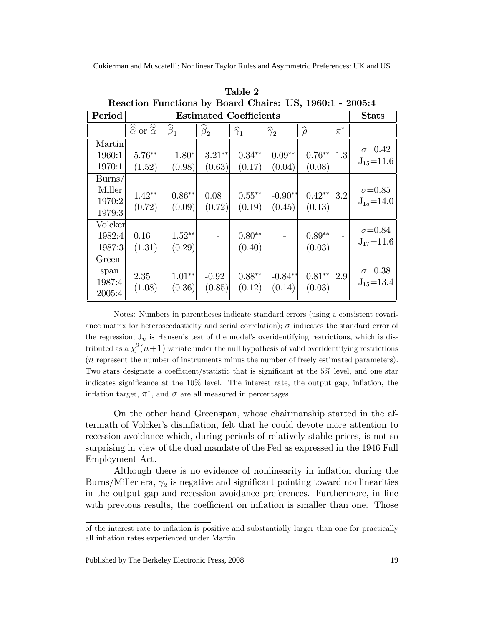| Period                               | <b>Estimated Coefficients</b>                                         |                    |                     |                     |                      | <b>Stats</b>       |         |                                    |
|--------------------------------------|-----------------------------------------------------------------------|--------------------|---------------------|---------------------|----------------------|--------------------|---------|------------------------------------|
|                                      | $\widehat{\widehat{\alpha}} \text{ or } \widehat{\widetilde{\alpha}}$ | $\beta_1$          | $\beta_2$           | $\gamma_1$          | $\widehat{\gamma}_2$ | $\widehat{\rho}$   | $\pi^*$ |                                    |
| Martin<br>1960:1<br>1970:1           | $5.76***$<br>(1.52)                                                   | $-1.80*$<br>(0.98) | $3.21***$<br>(0.63) | $0.34**$<br>(0.17)  | $0.09**$<br>(0.04)   | $0.76**$<br>(0.08) | 1.3     | $\sigma = 0.42$<br>$J_{15} = 11.6$ |
| Burns/<br>Miller<br>1970:2<br>1979:3 | $1.42**$<br>(0.72)                                                    | $0.86**$<br>(0.09) | 0.08<br>(0.72)      | $0.55***$<br>(0.19) | $-0.90**$<br>(0.45)  | $0.42**$<br>(0.13) | 3.2     | $\sigma = 0.85$<br>$J_{15} = 14.0$ |
| Volcker<br>1982:4<br>1987:3          | 0.16<br>(1.31)                                                        | $1.52**$<br>(0.29) |                     | $0.80**$<br>(0.40)  |                      | $0.89**$<br>(0.03) |         | $\sigma = 0.84$<br>$J_{17} = 11.6$ |
| Green-<br>span<br>1987:4<br>2005:4   | 2.35<br>(1.08)                                                        | $1.01**$<br>(0.36) | $-0.92$<br>(0.85)   | $0.88**$<br>(0.12)  | $-0.84**$<br>(0.14)  | $0.81**$<br>(0.03) | 2.9     | $\sigma = 0.38$<br>$J_{15} = 13.4$ |

Table 2 Reaction Functions by Board Chairs: US, 1960:1 - 2005:4

Notes: Numbers in parentheses indicate standard errors (using a consistent covariance matrix for heteroscedasticity and serial correlation);  $\sigma$  indicates the standard error of the regression;  $J_n$  is Hansen's test of the model's overidentifying restrictions, which is distributed as a  $\chi^2(n+1)$  variate under the null hypothesis of valid overidentifying restrictions (n represent the number of instruments minus the number of freely estimated parameters). Two stars designate a coefficient/statistic that is significant at the  $5\%$  level, and one star indicates significance at the  $10\%$  level. The interest rate, the output gap, inflation, the inflation target,  $\pi^*$ , and  $\sigma$  are all measured in percentages.

On the other hand Greenspan, whose chairmanship started in the aftermath of Volckerís disináation, felt that he could devote more attention to recession avoidance which, during periods of relatively stable prices, is not so surprising in view of the dual mandate of the Fed as expressed in the 1946 Full Employment Act.

Although there is no evidence of nonlinearity in inflation during the Burns/Miller era,  $\gamma_2$  is negative and significant pointing toward nonlinearities in the output gap and recession avoidance preferences. Furthermore, in line with previous results, the coefficient on inflation is smaller than one. Those

of the interest rate to ináation is positive and substantially larger than one for practically all inflation rates experienced under Martin.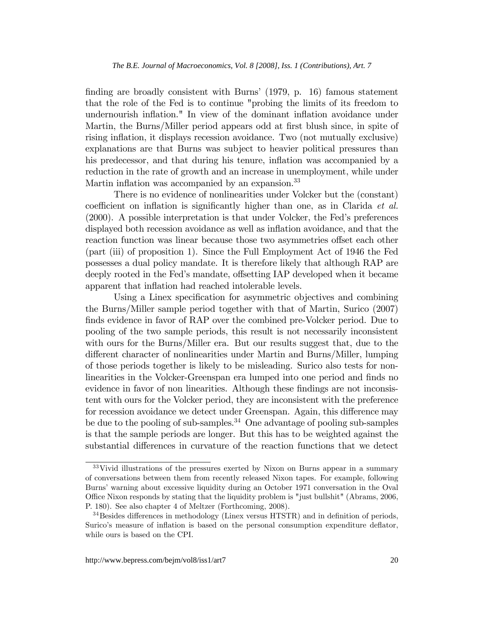finding are broadly consistent with Burns'  $(1979, p. 16)$  famous statement that the role of the Fed is to continue "probing the limits of its freedom to undernourish inflation." In view of the dominant inflation avoidance under Martin, the Burns/Miller period appears odd at first blush since, in spite of rising inflation, it displays recession avoidance. Two (not mutually exclusive) explanations are that Burns was subject to heavier political pressures than his predecessor, and that during his tenure, inflation was accompanied by a reduction in the rate of growth and an increase in unemployment, while under Martin inflation was accompanied by an expansion.<sup>33</sup>

There is no evidence of nonlinearities under Volcker but the (constant) coefficient on inflation is significantly higher than one, as in Clarida  $et \, al.$ (2000). A possible interpretation is that under Volcker, the Fedís preferences displayed both recession avoidance as well as inflation avoidance, and that the reaction function was linear because those two asymmetries offset each other (part (iii) of proposition 1). Since the Full Employment Act of 1946 the Fed possesses a dual policy mandate. It is therefore likely that although RAP are deeply rooted in the Fed's mandate, offsetting IAP developed when it became apparent that inflation had reached intolerable levels.

Using a Linex specification for asymmetric objectives and combining the Burns/Miller sample period together with that of Martin, Surico (2007) finds evidence in favor of RAP over the combined pre-Volcker period. Due to pooling of the two sample periods, this result is not necessarily inconsistent with ours for the Burns/Miller era. But our results suggest that, due to the different character of nonlinearities under Martin and Burns/Miller, lumping of those periods together is likely to be misleading. Surico also tests for nonlinearities in the Volcker-Greenspan era lumped into one period and finds no evidence in favor of non linearities. Although these findings are not inconsistent with ours for the Volcker period, they are inconsistent with the preference for recession avoidance we detect under Greenspan. Again, this difference may be due to the pooling of sub-samples.<sup>34</sup> One advantage of pooling sub-samples is that the sample periods are longer. But this has to be weighted against the substantial differences in curvature of the reaction functions that we detect

<sup>&</sup>lt;sup>33</sup>Vivid illustrations of the pressures exerted by Nixon on Burns appear in a summary of conversations between them from recently released Nixon tapes. For example, following Burns' warning about excessive liquidity during an October 1971 conversation in the Oval Office Nixon responds by stating that the liquidity problem is "just bullshit" (Abrams, 2006, P. 180). See also chapter 4 of Meltzer (Forthcoming, 2008).

 $34$ Besides differences in methodology (Linex versus HTSTR) and in definition of periods, Surico's measure of inflation is based on the personal consumption expenditure deflator, while ours is based on the CPI.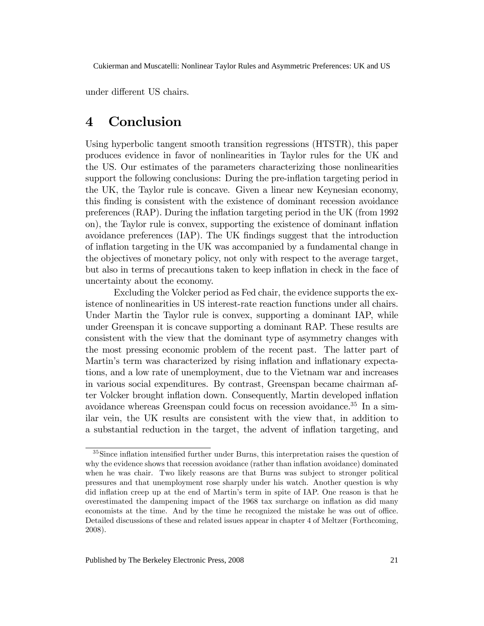under different US chairs.

## 4 Conclusion

Using hyperbolic tangent smooth transition regressions (HTSTR), this paper produces evidence in favor of nonlinearities in Taylor rules for the UK and the US. Our estimates of the parameters characterizing those nonlinearities support the following conclusions: During the pre-inflation targeting period in the UK, the Taylor rule is concave. Given a linear new Keynesian economy, this Önding is consistent with the existence of dominant recession avoidance preferences (RAP). During the inflation targeting period in the UK (from 1992) on), the Taylor rule is convex, supporting the existence of dominant ináation avoidance preferences (IAP). The UK Öndings suggest that the introduction of inflation targeting in the UK was accompanied by a fundamental change in the objectives of monetary policy, not only with respect to the average target, but also in terms of precautions taken to keep ináation in check in the face of uncertainty about the economy.

Excluding the Volcker period as Fed chair, the evidence supports the existence of nonlinearities in US interest-rate reaction functions under all chairs. Under Martin the Taylor rule is convex, supporting a dominant IAP, while under Greenspan it is concave supporting a dominant RAP. These results are consistent with the view that the dominant type of asymmetry changes with the most pressing economic problem of the recent past. The latter part of Martin's term was characterized by rising inflation and inflationary expectations, and a low rate of unemployment, due to the Vietnam war and increases in various social expenditures. By contrast, Greenspan became chairman after Volcker brought inflation down. Consequently, Martin developed inflation avoidance whereas Greenspan could focus on recession avoidance.<sup>35</sup> In a similar vein, the UK results are consistent with the view that, in addition to a substantial reduction in the target, the advent of inflation targeting, and

 $35$ Since inflation intensified further under Burns, this interpretation raises the question of why the evidence shows that recession avoidance (rather than inflation avoidance) dominated when he was chair. Two likely reasons are that Burns was subject to stronger political pressures and that unemployment rose sharply under his watch. Another question is why did inflation creep up at the end of Martin's term in spite of IAP. One reason is that he overestimated the dampening impact of the 1968 tax surcharge on ináation as did many economists at the time. And by the time he recognized the mistake he was out of office. Detailed discussions of these and related issues appear in chapter 4 of Meltzer (Forthcoming, 2008).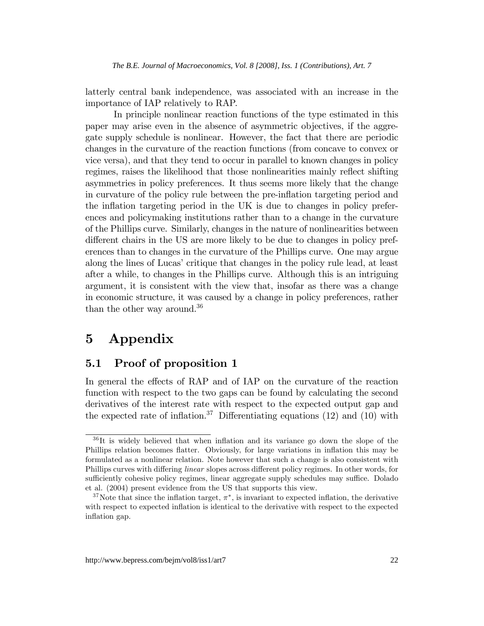latterly central bank independence, was associated with an increase in the importance of IAP relatively to RAP.

In principle nonlinear reaction functions of the type estimated in this paper may arise even in the absence of asymmetric objectives, if the aggregate supply schedule is nonlinear. However, the fact that there are periodic changes in the curvature of the reaction functions (from concave to convex or vice versa), and that they tend to occur in parallel to known changes in policy regimes, raises the likelihood that those nonlinearities mainly reflect shifting asymmetries in policy preferences. It thus seems more likely that the change in curvature of the policy rule between the pre-inflation targeting period and the inflation targeting period in the UK is due to changes in policy preferences and policymaking institutions rather than to a change in the curvature of the Phillips curve. Similarly, changes in the nature of nonlinearities between different chairs in the US are more likely to be due to changes in policy preferences than to changes in the curvature of the Phillips curve. One may argue along the lines of Lucas' critique that changes in the policy rule lead, at least after a while, to changes in the Phillips curve. Although this is an intriguing argument, it is consistent with the view that, insofar as there was a change in economic structure, it was caused by a change in policy preferences, rather than the other way around.<sup>36</sup>

## 5 Appendix

#### 5.1 Proof of proposition 1

In general the effects of RAP and of IAP on the curvature of the reaction function with respect to the two gaps can be found by calculating the second derivatives of the interest rate with respect to the expected output gap and the expected rate of inflation.<sup>37</sup> Differentiating equations (12) and (10) with

 $36$ It is widely believed that when inflation and its variance go down the slope of the Phillips relation becomes flatter. Obviously, for large variations in inflation this may be formulated as a nonlinear relation. Note however that such a change is also consistent with Phillips curves with differing *linear* slopes across different policy regimes. In other words, for sufficiently cohesive policy regimes, linear aggregate supply schedules may suffice. Dolado et al. (2004) present evidence from the US that supports this view.

 $37$ Note that since the inflation target,  $\pi^*$ , is invariant to expected inflation, the derivative with respect to expected inflation is identical to the derivative with respect to the expected inflation gap.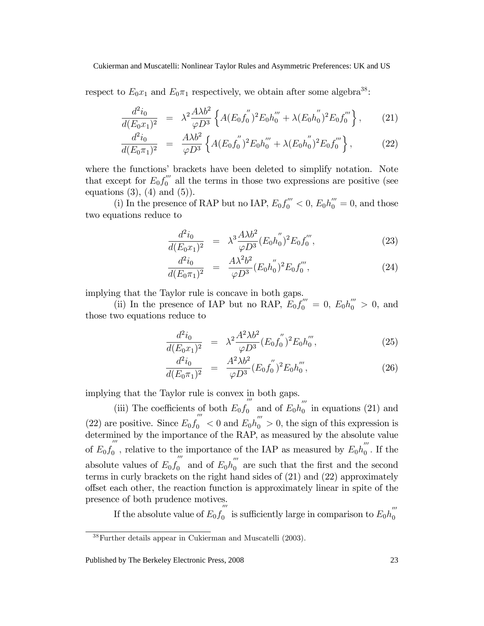respect to  $E_0x_1$  and  $E_0\pi_1$  respectively, we obtain after some algebra<sup>38</sup>:

$$
\frac{d^2 i_0}{d(E_0 x_1)^2} = \lambda^2 \frac{A \lambda b^2}{\varphi D^3} \left\{ A (E_0 f_0^{''})^2 E_0 h_0^{'''} + \lambda (E_0 h_0^{''})^2 E_0 f_0^{'''} \right\},\tag{21}
$$

$$
\frac{d^2 i_0}{d(E_0 \pi_1)^2} = \frac{A \lambda b^2}{\varphi D^3} \left\{ A (E_0 f_0^{''})^2 E_0 h_0^{'''} + \lambda (E_0 h_0^{''})^2 E_0 f_0^{'''} \right\},\tag{22}
$$

where the functions' brackets have been deleted to simplify notation. Note that except for  $E_0 f_0^{\prime\prime\prime}$  all the terms in those two expressions are positive (see equations  $(3)$ ,  $(4)$  and  $(5)$ ).

(i) In the presence of RAP but no IAP,  $E_0 f_0''' < 0$ ,  $E_0 h_0''' = 0$ , and those two equations reduce to

$$
\frac{d^2 i_0}{d(E_0 x_1)^2} = \lambda^3 \frac{A \lambda b^2}{\varphi D^3} (E_0 h_0^{''})^2 E_0 f_0^{'''}, \qquad (23)
$$

$$
\frac{d^2 i_0}{d(E_0 \pi_1)^2} = \frac{A \lambda^2 b^2}{\varphi D^3} (E_0 h_0^{''})^2 E_0 f_0^{'''}, \qquad (24)
$$

implying that the Taylor rule is concave in both gaps.

(ii) In the presence of IAP but no RAP,  $E_0 f_0^{\prime\prime\prime} = 0$ ,  $E_0 h_0^{\prime\prime\prime} > 0$ , and those two equations reduce to

$$
\frac{d^2 i_0}{d(E_0 x_1)^2} = \lambda^2 \frac{A^2 \lambda b^2}{\varphi D^3} (E_0 f_0^{''})^2 E_0 h_0^{'''}, \qquad (25)
$$

$$
\frac{d^2 i_0}{d(E_0 \pi_1)^2} = \frac{A^2 \lambda b^2}{\varphi D^3} (E_0 f_0^{''})^2 E_0 h_0^{'''}, \qquad (26)
$$

implying that the Taylor rule is convex in both gaps.

(iii) The coefficients of both  $E_0 f_0^{''''}$  and of  $E_0 h_0^{''''}$ of both  $E_0 f_0$  and of  $E_0 h_0$  in equations (21) and (22) are positive. Since  $E_0 f_0 < 0$  and  $E_0 h_0^{m} > 0$ , the sign of this expression is determined by the importance of the RAP, as measured by the absolute value of  $E_0 f_0^{'''}$  $\mathcal{E}_0$ , relative to the importance of the IAP as measured by  $E_0 h_0^{''''}$  $_0$  . If the absolute values of  $E_0 f_0^{''''}$  and of  $E_0 h_0^{''''}$  are such that the first and the second terms in curly brackets on the right hand sides of (21) and (22) approximately o§set each other, the reaction function is approximately linear in spite of the presence of both prudence motives.

If the absolute value of  $E_0 f_0^{\prime\prime\prime}$ is sufficiently large in comparison to  $E_0 h_0^{''''}$  $\boldsymbol{0}$ 

<sup>38</sup>Further details appear in Cukierman and Muscatelli (2003).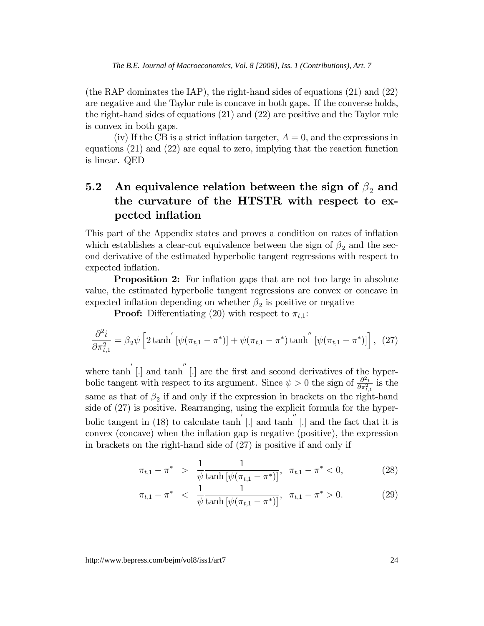(the RAP dominates the IAP), the right-hand sides of equations (21) and (22) are negative and the Taylor rule is concave in both gaps. If the converse holds, the right-hand sides of equations (21) and (22) are positive and the Taylor rule is convex in both gaps.

(iv) If the CB is a strict inflation targeter,  $A = 0$ , and the expressions in equations (21) and (22) are equal to zero, implying that the reaction function is linear. QED

## 5.2 An equivalence relation between the sign of  $\beta_2$  and the curvature of the HTSTR with respect to expected inflation

This part of the Appendix states and proves a condition on rates of inflation which establishes a clear-cut equivalence between the sign of  $\beta_2$  and the second derivative of the estimated hyperbolic tangent regressions with respect to expected inflation.

**Proposition 2:** For inflation gaps that are not too large in absolute value, the estimated hyperbolic tangent regressions are convex or concave in expected inflation depending on whether  $\beta_2$  is positive or negative

**Proof:** Differentiating (20) with respect to  $\pi_{t,1}$ :

$$
\frac{\partial^2 i}{\partial \pi_{t,1}^2} = \beta_2 \psi \left[ 2 \tanh' \left[ \psi(\pi_{t,1} - \pi^*) \right] + \psi(\pi_{t,1} - \pi^*) \tanh'' \left[ \psi(\pi_{t,1} - \pi^*) \right] \right], (27)
$$

where  $\tanh$  [.] and  $\tanh$  [.] are the first and second derivatives of the hyperbolic tangent with respect to its argument. Since  $\psi > 0$  the sign of  $\frac{\partial^2 i}{\partial \pi_{t,1}^2}$  is the same as that of  $\beta_2$  if and only if the expression in brackets on the right-hand side of (27) is positive. Rearranging, using the explicit formula for the hyperbolic tangent in (18) to calculate  $\tanh$  [.] and  $\tanh$  [.] and the fact that it is convex (concave) when the ináation gap is negative (positive), the expression in brackets on the right-hand side of (27) is positive if and only if

$$
\pi_{t,1} - \pi^* \ > \ \frac{1}{\psi} \frac{1}{\tanh\left[\psi(\pi_{t,1} - \pi^*)\right]}, \ \pi_{t,1} - \pi^* < 0,\tag{28}
$$

$$
\pi_{t,1} - \pi^* \ < \ \frac{1}{\psi} \frac{1}{\tanh\left[\psi(\pi_{t,1} - \pi^*)\right]}, \ \pi_{t,1} - \pi^* > 0. \tag{29}
$$

http://www.bepress.com/bejm/vol8/iss1/art7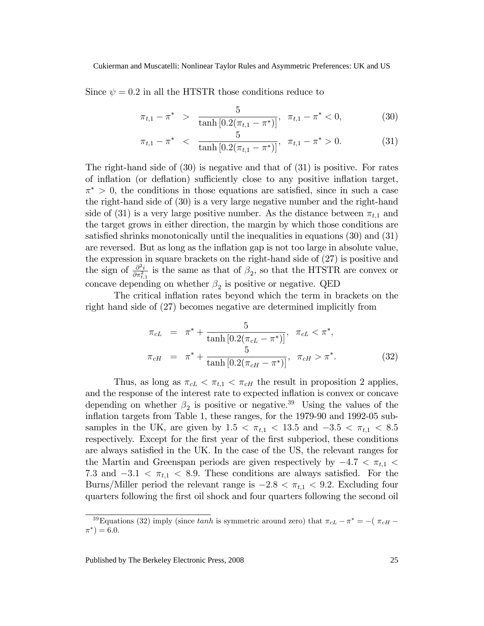Since  $\psi = 0.2$  in all the HTSTR those conditions reduce to

$$
\pi_{t,1} - \pi^* \ > \ \frac{5}{\tanh\left[0.2(\pi_{t,1} - \pi^*)\right]}, \ \pi_{t,1} - \pi^* < 0,\tag{30}
$$

$$
\pi_{t,1} - \pi^* \ < \ \frac{5}{\tanh\left[0.2(\pi_{t,1} - \pi^*)\right]}, \ \pi_{t,1} - \pi^* > 0. \tag{31}
$$

The right-hand side of (30) is negative and that of (31) is positive. For rates of inflation (or deflation) sufficiently close to any positive inflation target,  $\pi^* > 0$ , the conditions in those equations are satisfied, since in such a case the right-hand side of (30) is a very large negative number and the right-hand side of (31) is a very large positive number. As the distance between  $\pi_{t,1}$  and the target grows in either direction, the margin by which those conditions are satisfied shrinks monotonically until the inequalities in equations (30) and (31) are reversed. But as long as the ináation gap is not too large in absolute value, the expression in square brackets on the right-hand side of (27) is positive and the sign of  $\frac{\partial^2 i}{\partial \pi_{i,1}^2}$  is the same as that of  $\beta_2$ , so that the HTSTR are convex or concave depending on whether  $\beta_2$  is positive or negative. QED

The critical inflation rates beyond which the term in brackets on the right hand side of (27) becomes negative are determined implicitly from

$$
\pi_{cL} = \pi^* + \frac{5}{\tanh\left[0.2(\pi_{cL} - \pi^*)\right]}, \quad \pi_{cL} < \pi^*,
$$
\n
$$
\pi_{cH} = \pi^* + \frac{5}{\tanh\left[0.2(\pi_{cH} - \pi^*)\right]}, \quad \pi_{cH} > \pi^*.
$$
\n(32)

Thus, as long as  $\pi_{cL} < \pi_{t,1} < \pi_{cH}$  the result in proposition 2 applies, and the response of the interest rate to expected inflation is convex or concave depending on whether  $\beta_2$  is positive or negative.<sup>39</sup> Using the values of the inflation targets from Table 1, these ranges, for the 1979-90 and 1992-05 subsamples in the UK, are given by  $1.5 < \pi_{t,1} < 13.5$  and  $-3.5 < \pi_{t,1} < 8.5$ respectively. Except for the first year of the first subperiod, these conditions are always satisfied in the UK. In the case of the US, the relevant ranges for the Martin and Greenspan periods are given respectively by  $-4.7 < \pi_{t,1}$ 7.3 and  $-3.1 < \pi_{t,1} < 8.9$ . These conditions are always satisfied. For the Burns/Miller period the relevant range is  $-2.8 < \pi_{t,1} < 9.2$ . Excluding four quarters following the Örst oil shock and four quarters following the second oil

<sup>&</sup>lt;sup>39</sup>Equations (32) imply (since tanh is symmetric around zero) that  $\pi_{cL} - \pi^* = -(\pi_{cH} \pi^*$ ) = 6.0.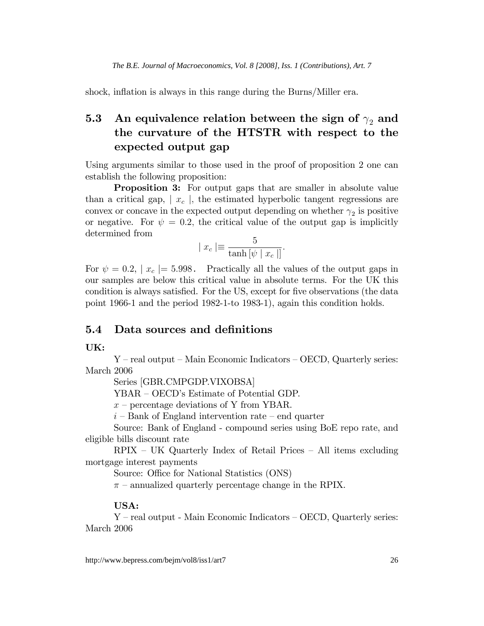shock, inflation is always in this range during the Burns/Miller era.

## 5.3 An equivalence relation between the sign of  $\gamma_2$  and the curvature of the HTSTR with respect to the expected output gap

Using arguments similar to those used in the proof of proposition 2 one can establish the following proposition:

Proposition 3: For output gaps that are smaller in absolute value than a critical gap,  $x_c$ , the estimated hyperbolic tangent regressions are convex or concave in the expected output depending on whether  $\gamma_2$  is positive or negative. For  $\psi = 0.2$ , the critical value of the output gap is implicitly determined from

$$
|x_c| \equiv \frac{5}{\tanh[\psi \mid x_c|]}.
$$

For  $\psi = 0.2$ ,  $x_c = 5.998$ . Practically all the values of the output gaps in our samples are below this critical value in absolute terms. For the UK this condition is always satisfied. For the US, except for five observations (the data point 1966-1 and the period 1982-1-to 1983-1), again this condition holds.

### 5.4 Data sources and definitions

UK:

 $Y$  – real output – Main Economic Indicators – OECD, Quarterly series: March 2006

Series [GBR.CMPGDP.VIXOBSA]

YBAR – OECD's Estimate of Potential GDP.

 $x$  – percentage deviations of Y from YBAR.

 $i$  – Bank of England intervention rate – end quarter

Source: Bank of England - compound series using BoE repo rate, and eligible bills discount rate

 $RPIX - UK$  Quarterly Index of Retail Prices  $-$  All items excluding mortgage interest payments

Source: Office for National Statistics (ONS)

 $\pi$  – annualized quarterly percentage change in the RPIX.

#### USA:

 $Y$  – real output - Main Economic Indicators – OECD, Quarterly series: March 2006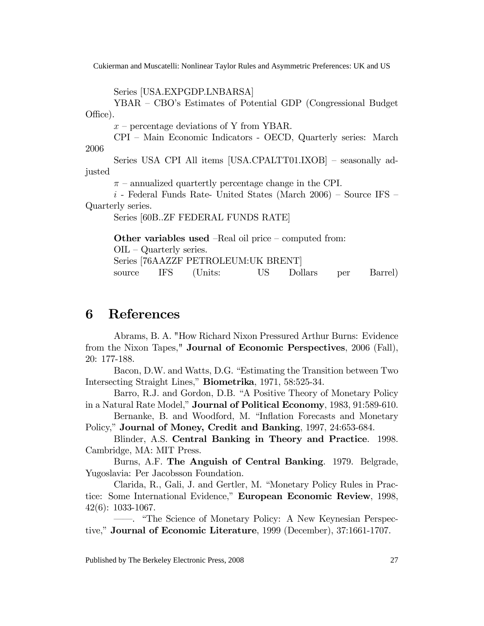Series [USA.EXPGDP.LNBARSA]

YBAR – CBO's Estimates of Potential GDP (Congressional Budget  $Office$ ).

 $x$  – percentage deviations of Y from YBAR.

CPI – Main Economic Indicators - OECD, Quarterly series: March 2006

Series USA CPI All items [USA.CPALTT01.IXOB] – seasonally adjusted

 $\pi$  – annualized quartertly percentage change in the CPI.

 $i$  - Federal Funds Rate- United States (March 2006) – Source IFS – Quarterly series.

Series [60B..ZF FEDERAL FUNDS RATE]

**Other variables used**  $\text{-Real oil price} - \text{computed from:}$  $OIL - Quarterly$  series. Series [76AAZZF PETROLEUM:UK BRENT] source IFS (Units: US Dollars per Barrel)

## 6 References

Abrams, B. A. "How Richard Nixon Pressured Arthur Burns: Evidence from the Nixon Tapes," Journal of Economic Perspectives, 2006 (Fall), 20: 177-188.

Bacon, D.W. and Watts, D.G. "Estimating the Transition between Two Intersecting Straight Lines," Biometrika, 1971, 58:525-34.

Barro, R.J. and Gordon, D.B. "A Positive Theory of Monetary Policy in a Natural Rate Model," **Journal of Political Economy**,  $1983, 91:589-610$ .

Bernanke, B. and Woodford, M. "Inflation Forecasts and Monetary Policy," Journal of Money, Credit and Banking, 1997, 24:653-684.

Blinder, A.S. Central Banking in Theory and Practice. 1998. Cambridge, MA: MIT Press.

Burns, A.F. The Anguish of Central Banking. 1979. Belgrade, Yugoslavia: Per Jacobsson Foundation.

Clarida, R., Gali, J. and Gertler, M. "Monetary Policy Rules in Practice: Some International Evidence," European Economic Review, 1998, 42(6): 1033-1067.

<sup>----</sup> The Science of Monetary Policy: A New Keynesian Perspective," Journal of Economic Literature, 1999 (December), 37:1661-1707.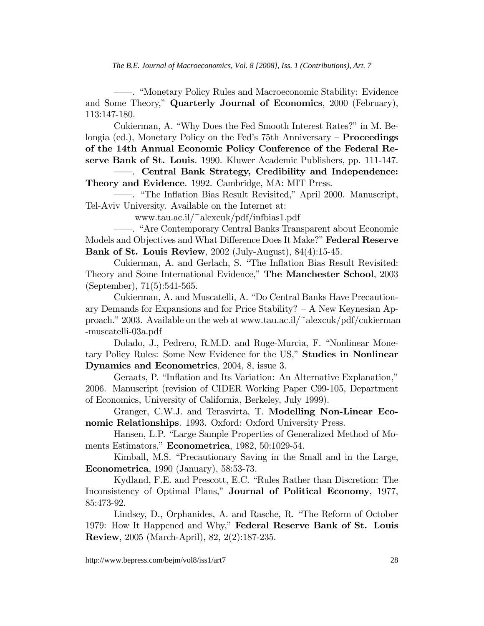<sup>-</sup> Monetary Policy Rules and Macroeconomic Stability: Evidence and Some Theory," Quarterly Journal of Economics, 2000 (February), 113:147-180.

Cukierman, A. "Why Does the Fed Smooth Interest Rates?" in M. Belongia (ed.), Monetary Policy on the Fed's 75th Anniversary  $-$  **Proceedings** of the 14th Annual Economic Policy Conference of the Federal Reserve Bank of St. Louis. 1990. Kluwer Academic Publishers, pp. 111-147.

**EXEC** Central Bank Strategy, Credibility and Independence: Theory and Evidence. 1992. Cambridge, MA: MIT Press.

**–––.** "The Inflation Bias Result Revisited," April 2000. Manuscript, Tel-Aviv University. Available on the Internet at:

www.tau.ac.il/~alexcuk/pdf/infbias1.pdf

**<sup>4</sup>** <sup>*i*</sup>Are Contemporary Central Banks Transparent about Economic Models and Objectives and What Difference Does It Make?" Federal Reserve Bank of St. Louis Review, 2002 (July-August), 84(4):15-45.

Cukierman, A. and Gerlach, S. "The Inflation Bias Result Revisited: Theory and Some International Evidence," The Manchester School, 2003 (September), 71(5):541-565.

Cukierman, A. and Muscatelli, A. "Do Central Banks Have Precautionary Demands for Expansions and for Price Stability?  $- A$  New Keynesian Approach." 2003. Available on the web at www.tau.ac.il/ $\tilde{a}$  alexcuk/pdf/cukierman -muscatelli-03a.pdf

Dolado, J., Pedrero, R.M.D. and Ruge-Murcia, F. "Nonlinear Monetary Policy Rules: Some New Evidence for the US," Studies in Nonlinear Dynamics and Econometrics, 2004, 8, issue 3.

Geraats, P. "Inflation and Its Variation: An Alternative Explanation," 2006. Manuscript (revision of CIDER Working Paper C99-105, Department of Economics, University of California, Berkeley, July 1999).

Granger, C.W.J. and Terasvirta, T. Modelling Non-Linear Economic Relationships. 1993. Oxford: Oxford University Press.

Hansen, L.P. "Large Sample Properties of Generalized Method of Moments Estimators," **Econometrica**,  $1982$ ,  $50:1029-54$ .

Kimball, M.S. "Precautionary Saving in the Small and in the Large, Econometrica, 1990 (January), 58:53-73.

Kydland, F.E. and Prescott, E.C. "Rules Rather than Discretion: The Inconsistency of Optimal Plans," Journal of Political Economy, 1977, 85:473-92.

Lindsey, D., Orphanides, A. and Rasche, R. "The Reform of October 1979: How It Happened and Why," Federal Reserve Bank of St. Louis Review, 2005 (March-April), 82, 2(2):187-235.